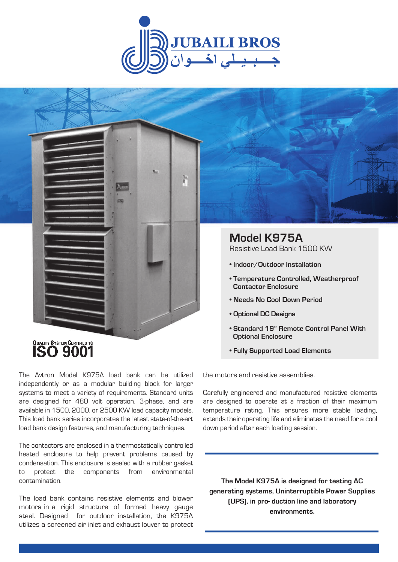





The Avtron Model K975A load bank can be utilized independently or as a modular building block for larger systems to meet a variety of requirements. Standard units are designed for 480 volt operation, 3-phase, and are available in 1500, 2000, or 2500 KW load capacity models. This load bank series incorporates the latest state-of-the-art load bank design features, and manufacturing techniques.

The contactors are enclosed in a thermostatically controlled heated enclosure to help prevent problems caused by condensation. This enclosure is sealed with a rubber gasket to protect the components from environmental contamination.

The load bank contains resistive elements and blower motors in a rigid structure of formed heavy gauge steel. Designed for outdoor installation, the K975A utilizes a screened air inlet and exhaust louver to protect

**• Fully Supported Load Elements**

the motors and resistive assemblies.

Carefully engineered and manufactured resistive elements are designed to operate at a fraction of their maximum temperature rating. This ensures more stable loading, extends their operating life and eliminates the need for a cool down period after each loading session.

**The Model K975A is designed for testing AC generating systems, Uninterruptible Power Supplies (UPS), in pro- duction line and laboratory environments.**